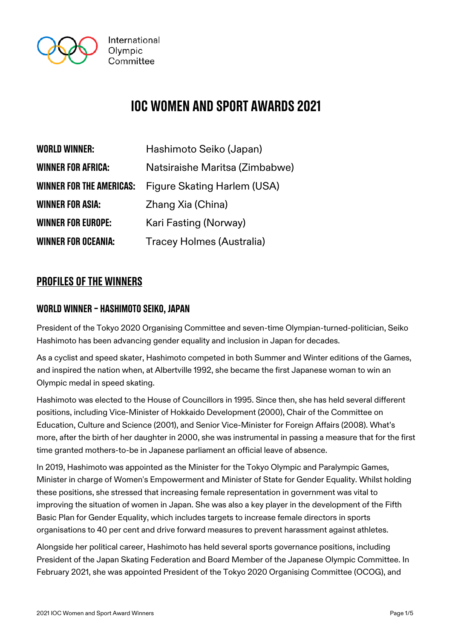

# IOC women and sport awards 2021

| <b>WORLD WINNER:</b>            | Hashimoto Seiko (Japan)          |
|---------------------------------|----------------------------------|
| <b>WINNER FOR AFRICA:</b>       | Natsiraishe Maritsa (Zimbabwe)   |
| <b>WINNER FOR THE AMERICAS:</b> | Figure Skating Harlem (USA)      |
| <b>WINNER FOR ASIA:</b>         | Zhang Xia (China)                |
| <b>WINNER FOR EUROPE:</b>       | Kari Fasting (Norway)            |
| <b>WINNER FOR OCEANIA:</b>      | <b>Tracey Holmes (Australia)</b> |

# profiles of the winners

# World Winner – Hashimoto Seiko, Japan

President of the Tokyo 2020 Organising Committee and seven-time Olympian-turned-politician, Seiko Hashimoto has been advancing gender equality and inclusion in Japan for decades.

As a cyclist and speed skater, Hashimoto competed in both Summer and Winter editions of the Games, and inspired the nation when, at Albertville 1992, she became the first Japanese woman to win an Olympic medal in speed skating.

Hashimoto was elected to the House of Councillors in 1995. Since then, she has held several different positions, including Vice-Minister of Hokkaido Development (2000), Chair of the Committee on Education, Culture and Science (2001), and Senior Vice-Minister for Foreign Affairs (2008). What's more, after the birth of her daughter in 2000, she was instrumental in passing a measure that for the first time granted mothers-to-be in Japanese parliament an official leave of absence.

In 2019, Hashimoto was appointed as the Minister for the Tokyo Olympic and Paralympic Games, Minister in charge of Women's Empowerment and Minister of State for Gender Equality. Whilst holding these positions, she stressed that increasing female representation in government was vital to improving the situation of women in Japan. She was also a key player in the development of the Fifth Basic Plan for Gender Equality, which includes targets to increase female directors in sports organisations to 40 per cent and drive forward measures to prevent harassment against athletes.

Alongside her political career, Hashimoto has held several sports governance positions, including President of the Japan Skating Federation and Board Member of the Japanese Olympic Committee. In February 2021, she was appointed President of the Tokyo 2020 Organising Committee (OCOG), and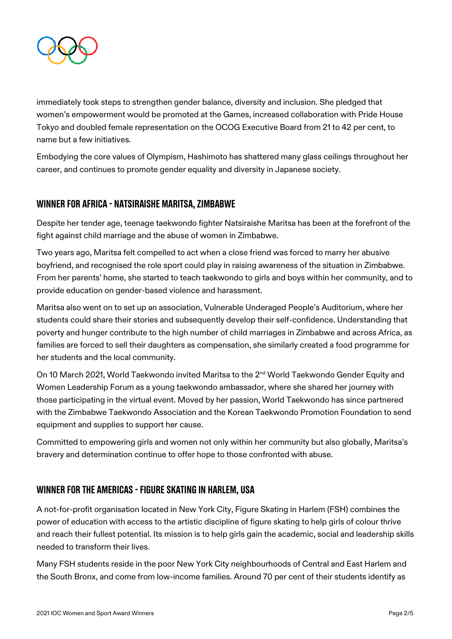

immediately took steps to strengthen gender balance, diversity and inclusion. She pledged that women's empowerment would be promoted at the Games, increased collaboration with Pride House Tokyo and doubled female representation on the OCOG Executive Board from 21 to 42 per cent, to name but a few initiatives.

Embodying the core values of Olympism, Hashimoto has shattered many glass ceilings throughout her career, and continues to promote gender equality and diversity in Japanese society.

#### Winner for Africa - Natsiraishe Maritsa, Zimbabwe

Despite her tender age, teenage taekwondo fighter Natsiraishe Maritsa has been at the forefront of the fight against child marriage and the abuse of women in Zimbabwe.

Two years ago, Maritsa felt compelled to act when a close friend was forced to marry her abusive boyfriend, and recognised the role sport could play in raising awareness of the situation in Zimbabwe. From her parents' home, she started to teach taekwondo to girls and boys within her community, and to provide education on gender-based violence and harassment.

Maritsa also went on to set up an association, Vulnerable Underaged People's Auditorium, where her students could share their stories and subsequently develop their self-confidence. Understanding that poverty and hunger contribute to the high number of child marriages in Zimbabwe and across Africa, as families are forced to sell their daughters as compensation, she similarly created a food programme for her students and the local community.

On 10 March 2021, World Taekwondo invited Maritsa to the 2<sup>nd</sup> World Taekwondo Gender Equity and Women Leadership Forum as a young taekwondo ambassador, where she shared her journey with those participating in the virtual event. Moved by her passion, World Taekwondo has since partnered with the Zimbabwe Taekwondo Association and the Korean Taekwondo Promotion Foundation to send equipment and supplies to support her cause.

Committed to empowering girls and women not only within her community but also globally, Maritsa's bravery and determination continue to offer hope to those confronted with abuse.

#### Winner for the Americas - Figure Skating in Harlem, USA

A not-for-profit organisation located in New York City, Figure Skating in Harlem (FSH) combines the power of education with access to the artistic discipline of figure skating to help girls of colour thrive and reach their fullest potential. Its mission is to help girls gain the academic, social and leadership skills needed to transform their lives.

Many FSH students reside in the poor New York City neighbourhoods of Central and East Harlem and the South Bronx, and come from low-income families. Around 70 per cent of their students identify as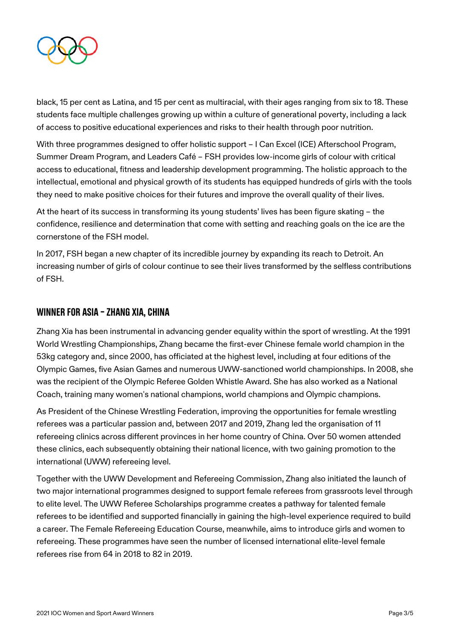

black, 15 per cent as Latina, and 15 per cent as multiracial, with their ages ranging from six to 18. These students face multiple challenges growing up within a culture of generational poverty, including a lack of access to positive educational experiences and risks to their health through poor nutrition.

With three programmes designed to offer holistic support – I Can Excel (ICE) Afterschool Program, Summer Dream Program, and Leaders Café – FSH provides low-income girls of colour with critical access to educational, fitness and leadership development programming. The holistic approach to the intellectual, emotional and physical growth of its students has equipped hundreds of girls with the tools they need to make positive choices for their futures and improve the overall quality of their lives.

At the heart of its success in transforming its young students' lives has been figure skating – the confidence, resilience and determination that come with setting and reaching goals on the ice are the cornerstone of the FSH model.

In 2017, FSH began a new chapter of its incredible journey by expanding its reach to Detroit. An increasing number of girls of colour continue to see their lives transformed by the selfless contributions of FSH.

#### WINNER FOR ASIA - ZHANG XIA, CHINA

Zhang Xia has been instrumental in advancing gender equality within the sport of wrestling. At the 1991 World Wrestling Championships, Zhang became the first-ever Chinese female world champion in the 53kg category and, since 2000, has officiated at the highest level, including at four editions of the Olympic Games, five Asian Games and numerous UWW-sanctioned world championships. In 2008, she was the recipient of the Olympic Referee Golden Whistle Award. She has also worked as a National Coach, training many women's national champions, world champions and Olympic champions.

As President of the Chinese Wrestling Federation, improving the opportunities for female wrestling referees was a particular passion and, between 2017 and 2019, Zhang led the organisation of 11 refereeing clinics across different provinces in her home country of China. Over 50 women attended these clinics, each subsequently obtaining their national licence, with two gaining promotion to the international (UWW) refereeing level.

Together with the UWW Development and Refereeing Commission, Zhang also initiated the launch of two major international programmes designed to support female referees from grassroots level through to elite level. The UWW Referee Scholarships programme creates a pathway for talented female referees to be identified and supported financially in gaining the high-level experience required to build a career. The Female Refereeing Education Course, meanwhile, aims to introduce girls and women to refereeing. These programmes have seen the number of licensed international elite-level female referees rise from 64 in 2018 to 82 in 2019.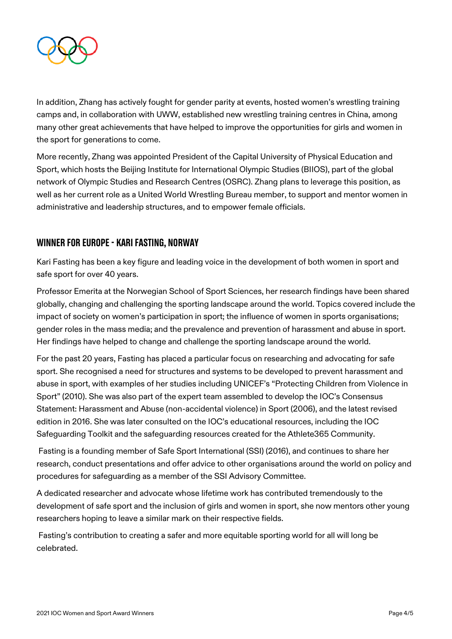

In addition, Zhang has actively fought for gender parity at events, hosted women's wrestling training camps and, in collaboration with UWW, established new wrestling training centres in China, among many other great achievements that have helped to improve the opportunities for girls and women in the sport for generations to come.

More recently, Zhang was appointed President of the Capital University of Physical Education and Sport, which hosts the Beijing Institute for International Olympic Studies (BIIOS), part of the global network of Olympic Studies and Research Centres (OSRC). Zhang plans to leverage this position, as well as her current role as a United World Wrestling Bureau member, to support and mentor women in administrative and leadership structures, and to empower female officials.

# Winner for Europe - Kari Fasting, Norway

Kari Fasting has been a key figure and leading voice in the development of both women in sport and safe sport for over 40 years.

Professor Emerita at the Norwegian School of Sport Sciences, her research findings have been shared globally, changing and challenging the sporting landscape around the world. Topics covered include the impact of society on women's participation in sport; the influence of women in sports organisations; gender roles in the mass media; and the prevalence and prevention of harassment and abuse in sport. Her findings have helped to change and challenge the sporting landscape around the world.

For the past 20 years, Fasting has placed a particular focus on researching and advocating for safe sport. She recognised a need for structures and systems to be developed to prevent harassment and abuse in sport, with examples of her studies including UNICEF's "Protecting Children from Violence in Sport" (2010). She was also part of the expert team assembled to develop the IOC's Consensus Statement: Harassment and Abuse (non-accidental violence) in Sport (2006), and the latest revised edition in 2016. She was later consulted on the IOC's educational resources, including the IOC Safeguarding Toolkit and the safeguarding resources created for the Athlete365 Community.

Fasting is a founding member of Safe Sport International (SSI) (2016), and continues to share her research, conduct presentations and offer advice to other organisations around the world on policy and procedures for safeguarding as a member of the SSI Advisory Committee.

A dedicated researcher and advocate whose lifetime work has contributed tremendously to the development of safe sport and the inclusion of girls and women in sport, she now mentors other young researchers hoping to leave a similar mark on their respective fields.

Fasting's contribution to creating a safer and more equitable sporting world for all will long be celebrated.